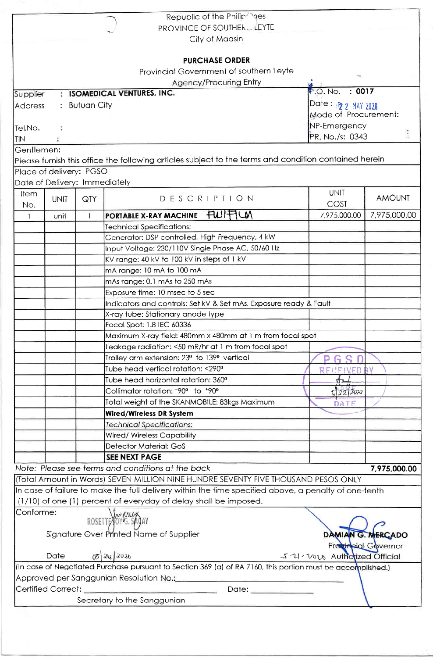|                               |                    |                 | Republic of the Philip nes                                                                                  |                                  |                     |  |
|-------------------------------|--------------------|-----------------|-------------------------------------------------------------------------------------------------------------|----------------------------------|---------------------|--|
|                               |                    |                 | PROVINCE OF SOUTHER. LEYTE                                                                                  |                                  |                     |  |
|                               |                    |                 | City of Maasin                                                                                              |                                  |                     |  |
|                               |                    |                 | <b>PURCHASE ORDER</b>                                                                                       |                                  |                     |  |
|                               |                    |                 |                                                                                                             |                                  |                     |  |
|                               |                    |                 | Provincial Government of southern Leyte                                                                     |                                  |                     |  |
|                               |                    |                 | <b>Agency/Procuring Entry</b>                                                                               |                                  |                     |  |
| Supplier                      |                    |                 | : ISOMEDICAL VENTURES, INC.                                                                                 | : 0017<br>$P.O.$ No.             |                     |  |
| <b>Address</b>                |                    | $:$ Butuan City |                                                                                                             | Date: 12 2 MAY 2020              |                     |  |
|                               |                    |                 |                                                                                                             | Mode of Procurement:             |                     |  |
| Tel.No.                       |                    |                 | NP-Emergency                                                                                                |                                  |                     |  |
| <b>TIN</b>                    |                    |                 |                                                                                                             | $\frac{1}{2}$<br>PR. No./s: 0343 |                     |  |
| Gentlemen:                    |                    |                 |                                                                                                             |                                  |                     |  |
|                               |                    |                 | Please furnish this office the following articles subject to the terms and condition contained herein       |                                  |                     |  |
| Place of delivery: PGSO       |                    |                 |                                                                                                             |                                  |                     |  |
| Date of Delivery: Immediately |                    |                 |                                                                                                             |                                  |                     |  |
|                               |                    |                 |                                                                                                             | <b>UNIT</b>                      |                     |  |
| Item                          | <b>UNIT</b>        | QTY             | DESCRIPTION                                                                                                 |                                  | <b>AMOUNT</b>       |  |
| No.                           |                    |                 |                                                                                                             | COST                             |                     |  |
| $\mathbf{1}$                  | unit               | 1               | FWIFILM<br>PORTABLE X-RAY MACHINE                                                                           | 7,975,000.00                     | 7,975,000.00        |  |
|                               |                    |                 | <b>Technical Specifications:</b>                                                                            |                                  |                     |  |
|                               |                    |                 | Generator: DSP controlled, High Frequency, 4 kW                                                             |                                  |                     |  |
|                               |                    |                 | Input Voltage: 230/110V Single Phase AC, 50/60 Hz                                                           |                                  |                     |  |
|                               |                    |                 | KV range: 40 kV to 100 kV in steps of 1 kV                                                                  |                                  |                     |  |
|                               |                    |                 | mA range: 10 mA to 100 mA                                                                                   |                                  |                     |  |
|                               |                    |                 | mAs range: 0.1 mAs to 250 mAs                                                                               |                                  |                     |  |
|                               |                    |                 | Exposure time: 10 msec to 5 sec                                                                             |                                  |                     |  |
|                               |                    |                 | Indicators and controls: Set kV & Set mAs, Exposure ready & Fault                                           |                                  |                     |  |
|                               |                    |                 | X-ray tube: Stationary anode type                                                                           |                                  |                     |  |
|                               |                    |                 | Focal Spot: 1.8 IEC 60336                                                                                   |                                  |                     |  |
|                               |                    |                 | Maximum X-ray field: 480mm x 480mm at 1 m from focal spot                                                   |                                  |                     |  |
|                               |                    |                 | Leakage radiation: <50 mR/hr at 1 m from focal spot                                                         |                                  |                     |  |
|                               |                    |                 | Trolley arm extension: 23º to 139º vertical                                                                 |                                  |                     |  |
|                               |                    |                 |                                                                                                             | GSD                              |                     |  |
|                               |                    |                 | Tube head vertical rotation: <290°                                                                          | RECEIVED BY                      |                     |  |
|                               |                    |                 | Tube head horizontal rotation: 360 <sup>°</sup>                                                             |                                  |                     |  |
|                               |                    |                 | Collimator rotation: -90° to +90°                                                                           | 52220x                           |                     |  |
|                               |                    |                 | Total weight of the SKANMOBILE: 83kgs Maximum                                                               | DATE                             |                     |  |
|                               |                    |                 | <b>Wired/Wireless DR System</b>                                                                             |                                  |                     |  |
|                               |                    |                 | <b>Technical Specifications:</b>                                                                            |                                  |                     |  |
|                               |                    |                 | Wired/ Wireless Capability                                                                                  |                                  |                     |  |
|                               |                    |                 | <b>Detector Material: GoS</b>                                                                               |                                  |                     |  |
|                               |                    |                 | <b>SEE NEXT PAGE</b>                                                                                        |                                  |                     |  |
|                               |                    |                 | Note: Please see terms and conditions at the back                                                           |                                  | 7,975,000.00        |  |
|                               |                    |                 | (Total Amount in Words) SEVEN MILLION NINE HUNDRE SEVENTY FIVE THOUSAND PESOS ONLY                          |                                  |                     |  |
|                               |                    |                 | In case of failure to make the full delivery within the time specified above, a penalty of one-tenth        |                                  |                     |  |
|                               |                    |                 | (1/10) of one (1) percent of everyday of delay shall be imposed.                                            |                                  |                     |  |
| Conforme:                     |                    |                 |                                                                                                             |                                  |                     |  |
|                               |                    |                 | ROSETTE OVER SADAY                                                                                          |                                  |                     |  |
|                               |                    |                 | Signature Over Printed Name of Supplier                                                                     |                                  | DAMIAN G. MERCADO   |  |
|                               |                    |                 |                                                                                                             |                                  | Provincial Governor |  |
|                               | Date               |                 | 0520                                                                                                        |                                  |                     |  |
|                               |                    |                 |                                                                                                             | 571-2018 Authorized Official     |                     |  |
|                               |                    |                 | (In case of Negotiated Purchase pursuant to Section 369 (a) of RA 7160, this portion must be accomplished.) |                                  |                     |  |
|                               |                    |                 | Approved per Sanggunian Resolution No.: 1990                                                                |                                  |                     |  |
|                               | Certified Correct: |                 | Date: _____________                                                                                         |                                  |                     |  |
|                               |                    |                 | Secretary to the Sanggunian                                                                                 |                                  |                     |  |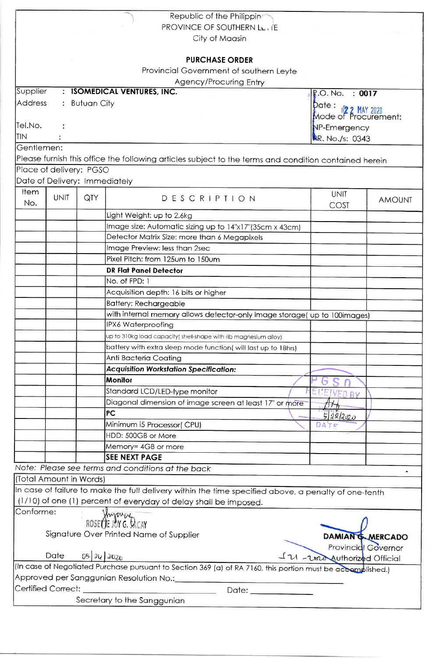|                                                                                                             |                               |               | Republic of the Philippin<br>PROVINCE OF SOUTHERN LL, IE                                              |                                                           |               |  |  |  |
|-------------------------------------------------------------------------------------------------------------|-------------------------------|---------------|-------------------------------------------------------------------------------------------------------|-----------------------------------------------------------|---------------|--|--|--|
|                                                                                                             |                               |               | City of Maasin                                                                                        |                                                           |               |  |  |  |
|                                                                                                             |                               |               | <b>PURCHASE ORDER</b>                                                                                 |                                                           |               |  |  |  |
|                                                                                                             |                               |               | Provincial Government of southern Leyte                                                               |                                                           |               |  |  |  |
|                                                                                                             |                               |               | <b>Agency/Procuring Entry</b>                                                                         |                                                           |               |  |  |  |
| Supplier                                                                                                    |                               |               | : ISOMEDICAL VENTURES, INC.                                                                           | : 0017<br><b>P.O. No.</b>                                 |               |  |  |  |
| <b>Address</b>                                                                                              |                               | : Butuan City |                                                                                                       | Date: 1 <mark>2 2 MAY 2020</mark><br>Mode of Procurement: |               |  |  |  |
| Tel.No.                                                                                                     |                               |               |                                                                                                       |                                                           |               |  |  |  |
| <b>TIN</b>                                                                                                  |                               |               |                                                                                                       | NP-Emergency                                              |               |  |  |  |
| Gentlemen:                                                                                                  |                               |               |                                                                                                       | RR. No./s: 0343                                           |               |  |  |  |
|                                                                                                             |                               |               |                                                                                                       |                                                           |               |  |  |  |
|                                                                                                             |                               |               | Please furnish this office the following articles subject to the terms and condition contained herein |                                                           |               |  |  |  |
|                                                                                                             | Place of delivery: PGSO       |               |                                                                                                       |                                                           |               |  |  |  |
|                                                                                                             | Date of Delivery: Immediately |               |                                                                                                       |                                                           |               |  |  |  |
| Item<br>No.                                                                                                 | <b>UNIT</b>                   | QTY           | DESCRIPTION                                                                                           | <b>UNIT</b><br>COST                                       | <b>AMOUNT</b> |  |  |  |
|                                                                                                             |                               |               | Light Weight: up to 2.6kg                                                                             |                                                           |               |  |  |  |
|                                                                                                             |                               |               | Image size: Automatic sizing up to 14"x17"(35cm x 43cm)                                               |                                                           |               |  |  |  |
|                                                                                                             |                               |               | Detector Matrix Size: more than 6 Megapixels                                                          |                                                           |               |  |  |  |
|                                                                                                             |                               |               | Image Preview: less than 2sec                                                                         |                                                           |               |  |  |  |
|                                                                                                             |                               |               | Pixel Pitch: from 125um to 150um                                                                      |                                                           |               |  |  |  |
|                                                                                                             |                               |               | <b>DR Flat Panel Detector</b>                                                                         |                                                           |               |  |  |  |
|                                                                                                             |                               |               | No. of FPD: 1                                                                                         |                                                           |               |  |  |  |
|                                                                                                             |                               |               | Acquisition depth: 16 bits or higher                                                                  |                                                           |               |  |  |  |
|                                                                                                             |                               |               | <b>Battery: Rechargeable</b>                                                                          |                                                           |               |  |  |  |
|                                                                                                             |                               |               | with internal memory allows detector-only image storage( up to 100images)                             |                                                           |               |  |  |  |
|                                                                                                             |                               |               | IPX6 Waterproofing                                                                                    |                                                           |               |  |  |  |
|                                                                                                             |                               |               | up to 310kg load capacity( shell-shape with rib magnesium alloy)                                      |                                                           |               |  |  |  |
|                                                                                                             |                               |               | battery with extra sleep mode function( will last up to 18hrs)                                        |                                                           |               |  |  |  |
|                                                                                                             |                               |               | Anti Bacteria Coating                                                                                 |                                                           |               |  |  |  |
|                                                                                                             |                               |               | <b>Acquisition Workstation Specification:</b>                                                         |                                                           |               |  |  |  |
|                                                                                                             |                               |               | <b>Monitor</b>                                                                                        |                                                           |               |  |  |  |
|                                                                                                             |                               |               | Standard LCD/LED-type monitor                                                                         | ECEIVED BY                                                |               |  |  |  |
|                                                                                                             |                               |               | Diagonal dimension of image screen at least 17" or more                                               |                                                           |               |  |  |  |
|                                                                                                             |                               |               | <b>PC</b>                                                                                             | 522220                                                    |               |  |  |  |
|                                                                                                             |                               |               | Minimum i5 Processor(CPU)                                                                             | DATE                                                      |               |  |  |  |
|                                                                                                             |                               |               | HDD: 500GB or More                                                                                    |                                                           |               |  |  |  |
|                                                                                                             |                               |               | Memory= 4GB or more                                                                                   |                                                           |               |  |  |  |
|                                                                                                             |                               |               | <b>SEE NEXT PAGE</b>                                                                                  |                                                           |               |  |  |  |
|                                                                                                             |                               |               | Note: Please see terms and conditions at the back                                                     |                                                           |               |  |  |  |
|                                                                                                             | (Total Amount in Words)       |               |                                                                                                       |                                                           |               |  |  |  |
|                                                                                                             |                               |               | In case of failure to make the full delivery within the time specified above, a penalty of one-tenth  |                                                           |               |  |  |  |
|                                                                                                             |                               |               | (1/10) of one (1) percent of everyday of delay shall be imposed.                                      |                                                           |               |  |  |  |
| Conforme:                                                                                                   |                               |               | ROSE OF JOY G. DICAY                                                                                  |                                                           |               |  |  |  |
|                                                                                                             |                               |               |                                                                                                       |                                                           |               |  |  |  |
| Signature Over Printed Name of Supplier<br><b>DAMIAN G. MERCADO</b>                                         |                               |               |                                                                                                       |                                                           |               |  |  |  |
| Provincial Governor<br>05 24 2020<br>Date<br>IV - vand Authorized Official                                  |                               |               |                                                                                                       |                                                           |               |  |  |  |
| (In case of Negotiated Purchase pursuant to Section 369 (a) of RA 7160, this portion must be accomplished.) |                               |               |                                                                                                       |                                                           |               |  |  |  |
|                                                                                                             |                               |               |                                                                                                       |                                                           |               |  |  |  |
| Certified Correct:<br>Date: <b>Example 2014</b>                                                             |                               |               |                                                                                                       |                                                           |               |  |  |  |
| Secretary to the Sanggunian                                                                                 |                               |               |                                                                                                       |                                                           |               |  |  |  |
|                                                                                                             |                               |               |                                                                                                       |                                                           |               |  |  |  |